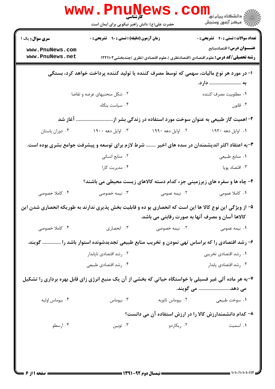|                                                                                                          | <b>WWW.PNUP</b><br><b>کی شناسی</b><br>کارشناسی<br>حضرت علی(ع): دانش راهبر نیکویی برای ایمان است |                                                 | الاد دانشگاه پيام نور<br>الاد مرکز آزمون وسنجش                                                                               |
|----------------------------------------------------------------------------------------------------------|-------------------------------------------------------------------------------------------------|-------------------------------------------------|------------------------------------------------------------------------------------------------------------------------------|
| <b>سری سوال :</b> یک ۱                                                                                   | <b>زمان آزمون (دقیقه) : تستی : ۹۰ قشریحی : 0</b>                                                |                                                 | <b>تعداد سوالات : تستی : 40 - تشریحی : 0</b>                                                                                 |
| www.PnuNews.com<br>www.PnuNews.net                                                                       |                                                                                                 |                                                 | <b>عنـــوان درس:</b> اقتصادمنابع<br><b>رشته تحصیلی/کد درس:</b> علوم اقتصادی (اقتصادنظری )،علوم اقتصادی (نظری )چندبخشی1۲۲۱۱۰۲ |
|                                                                                                          | ا- در مورد هر نوع مالیات، سهمی که توسط مصرف کننده یا تولید کننده پرداخت خواهد کرد، بستگی        |                                                 |                                                                                                                              |
|                                                                                                          | ۰۲ شکل منحنیهای عرضه و تقاضا                                                                    |                                                 | به  دارد.<br>٠١ مطلوبيت مصرف كننده                                                                                           |
|                                                                                                          | ۰۴ سیاست بنگاه                                                                                  |                                                 | تانون $\cdot$ ۳ .                                                                                                            |
|                                                                                                          |                                                                                                 |                                                 |                                                                                                                              |
|                                                                                                          | ۲- اهمیت گاز طبیعی به عنوان سوخت مورد استفاده در زندگی بشر از آغاز شد                           |                                                 |                                                                                                                              |
| ۰۴ دوران باستان                                                                                          | ۰۳ اوایل دهه ۱۹۰۰                                                                               | ۰۲ اوایل دهه ۱۹۹۰                               | ۰۱ اوایل دهه ۱۹۳۰                                                                                                            |
|                                                                                                          |                                                                                                 |                                                 | ۳-به اعتقاد اکثر اندیشمندان در سده های اخیر  شرط لازم برای توسعه و پیشرفت جوامع بشری بوده است.                               |
|                                                                                                          | ۰۲ منابع انسانی                                                                                 |                                                 | ۰۱ منابع طبیعی                                                                                                               |
|                                                                                                          | ۰۴ مدیریت کارا                                                                                  |                                                 | ۰۳ اقتصاد پویا                                                                                                               |
|                                                                                                          |                                                                                                 |                                                 | ۴- چاه ها و سفره های زیرزمینی جزء کدام دسته کالاهای زیست محیطی می باشند؟                                                     |
| ۰۴ کاملا خصوصی                                                                                           | ۰۳ نیمه خصوصی                                                                                   | ۰۲ نیمه عمومی                                   | ۰۱ کاملا عمومی                                                                                                               |
| ۵– از ویژگی این نوع کالا ها این است که انحصاری بو ده و قابلیت بخش پذیری ندارند به طوریکه انحصاری شدن این |                                                                                                 | کالاها آسان و مصرف آنها به صورت رقابتی می باشد. |                                                                                                                              |
| ۰۴ کاملا خصوصی                                                                                           | ۰۳ انحصاری                                                                                      | ۰۲ نیمه خصوصی                                   | ۰۱ نیمه عمومی                                                                                                                |
|                                                                                                          |                                                                                                 |                                                 | ۶- رشد اقتصادی را که براساس تهی نمودن و تخریب منابع طبیعی تجدیدشونده استوار باشد را  گویند.                                  |
|                                                                                                          | ٠٢ رشد اقتصادي ناپابدار                                                                         |                                                 | ۰۱ رشد اقتصادی تخریبی                                                                                                        |
|                                                                                                          | ۰۴ رشد اقتصادي طبيعي                                                                            |                                                 | ۰۳ رشد اقتصادي پابدار                                                                                                        |
| ۷-به هر ماده آلی غیر فسیلی با خواستگاه حیاتی که بخشی از آن یک منبع انرژی زای قابل بهره برداری را تشکیل   |                                                                                                 |                                                 | می دهد می گویند.                                                                                                             |
| ۰۴ بيوماس اوليه                                                                                          | ۰۳ بیوماس                                                                                       | ۰۲ بیوماس ثانویه                                | ۰۱ سوخت طبیعی                                                                                                                |
|                                                                                                          |                                                                                                 |                                                 | ۸- کدام دانشمندارزش کالا را در ارزش استفاده آن می دانست؟                                                                     |
| ۰۴ ارسطو                                                                                                 | توبين $\cdot$                                                                                   | ۰۲ ریکاردو                                      | ۰۱ اسمیت                                                                                                                     |
|                                                                                                          |                                                                                                 |                                                 |                                                                                                                              |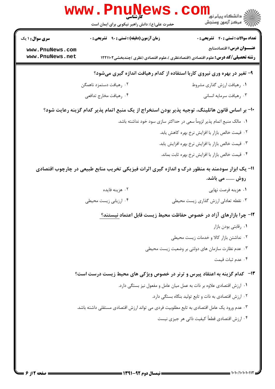|                                                                                                 | <b>WWW.PNUNG</b><br>حضرت علی(ع): دانش راهبر نیکویی برای ایمان است                         | ر دانشڪاه پيام نور <mark>−</mark><br>// مرکز آزمون وسنڊش                                                              |  |  |
|-------------------------------------------------------------------------------------------------|-------------------------------------------------------------------------------------------|-----------------------------------------------------------------------------------------------------------------------|--|--|
| <b>سری سوال : ۱ یک</b>                                                                          | زمان آزمون (دقیقه) : تستی : ۹۰٪ تشریحی : ۰                                                | <b>تعداد سوالات : تستی : 40 - تشریحی : 0</b>                                                                          |  |  |
| www.PnuNews.com<br>www.PnuNews.net                                                              |                                                                                           | عنـــوان درس: اقتصادمنابع<br><b>رشته تحصیلی/کد درس:</b> علوم اقتصادی (اقتصادنظری )،علوم اقتصادی (نظری )چندبخشی1۲۲۱۱۰۲ |  |  |
| ۹- تغیر در بهره وری نیروی کاربا استفاده از کدام رهیافت اندازه گیری میشود؟                       |                                                                                           |                                                                                                                       |  |  |
|                                                                                                 | ۰۲ رهیافت دستمزد ناهمگن                                                                   | ۰۱ رهیافت ارزش گذاری مشروط                                                                                            |  |  |
|                                                                                                 | ۰۴ رهیافت مخارج تدافعی                                                                    | ۰۳ رهيافت سرمايه انساني                                                                                               |  |  |
| +ا– بر اساس قانون هاتلینگ، توجیه پذیر بودن استخراج از یک منبع اتمام پذیر کدام گزینه رعایت شود؟  |                                                                                           |                                                                                                                       |  |  |
|                                                                                                 |                                                                                           | ١.  مالک منبع اتمام پذیر لزوماً سعی در حداکثر سازی سود خود نداشته باشد.                                               |  |  |
|                                                                                                 |                                                                                           | ۰۲ قیمت خالص بازار با افزایش نرخ بهره کاهش یابد.                                                                      |  |  |
|                                                                                                 |                                                                                           | ۰۳ قیمت خالص بازار با افزایش نرخ بهره افزایش یابد.                                                                    |  |  |
|                                                                                                 |                                                                                           | ۰۴ قیمت خالص بازار با افزایش نرخ بهره ثابت بماند.                                                                     |  |  |
| 11- یک ابزار سودمند به منظور درک و اندازه گیری اثرات فیزیکی تخریب منابع طبیعی در چارچوب اقتصادی |                                                                                           |                                                                                                                       |  |  |
|                                                                                                 |                                                                                           | روش  می باشد.                                                                                                         |  |  |
|                                                                                                 | ۰۲ هزینه فایده                                                                            | ۰۱ هزینه فرصت نهایی                                                                                                   |  |  |
|                                                                                                 | ۰۴ ارزیابی زیست محیطی                                                                     | ۰۳ نقطه تعادلی ارزش گذاری زیست محیطی                                                                                  |  |  |
|                                                                                                 |                                                                                           | ۱۲- چرا بازارهای آزاد در خصوص حفاظت محیط زیست قابل اعتماد نیستند؟                                                     |  |  |
|                                                                                                 |                                                                                           | ٠١. رقابتي بودن بازار                                                                                                 |  |  |
|                                                                                                 |                                                                                           | ٠٢ نداشتن بازار كالا و خدمات زيست محيطى                                                                               |  |  |
|                                                                                                 |                                                                                           | ۰۳ عدم نظارت سازمان های دولتی بر وضعیت زیست محیطی                                                                     |  |  |
|                                                                                                 |                                                                                           | ۰۴ عدم ثبات قیمت                                                                                                      |  |  |
|                                                                                                 | ۱۳- کدام گزینه به اعتقاد پیرس و ترنر در خصوص ویژکی های محیط زیست درست است؟                |                                                                                                                       |  |  |
|                                                                                                 |                                                                                           | ۰۱ ارزش اقتصادی علاوه بر ذات به عمل میان عامل و مفعول نیز بستگی دارد.                                                 |  |  |
|                                                                                                 |                                                                                           | ۰۲ ارزش اقتصادی به ذات و تابع تولید بنگاه بستگی دارد.                                                                 |  |  |
|                                                                                                 | ۰۳ عدم ورود یک عامل اقتصادی به تابع مطلوبیت فردی می تواند ارزش اقتصادی مستقلی داشته باشد. |                                                                                                                       |  |  |
|                                                                                                 |                                                                                           | ۰۴ ارزش اقتصادی قطعاً کیفیت ذاتی هر جیزی نیست                                                                         |  |  |
|                                                                                                 |                                                                                           |                                                                                                                       |  |  |
|                                                                                                 |                                                                                           |                                                                                                                       |  |  |
|                                                                                                 |                                                                                           |                                                                                                                       |  |  |

 $= 1.1 - (1.1 - 1.11)$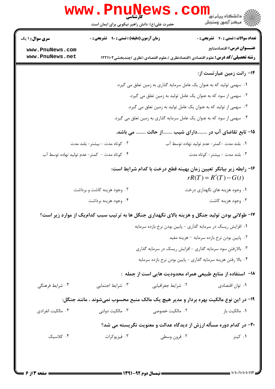|                                    | حضرت علی(ع): دانش راهبر نیکویی برای ایمان است     |                                                                                                | ڪ دانشڪاه پيا <sub>م</sub> نور<br><mark>∕</mark> 7 مرڪز آزمون وسنڊش |
|------------------------------------|---------------------------------------------------|------------------------------------------------------------------------------------------------|---------------------------------------------------------------------|
| <b>سری سوال : ۱ یک</b>             | <b>زمان آزمون (دقیقه) : تستی : ۹۰٪ تشریحی : 0</b> |                                                                                                | <b>تعداد سوالات : تستي : 40 ٪ تشريحي : 0</b>                        |
| www.PnuNews.com<br>www.PnuNews.net |                                                   |                                                                                                | عنـــوان درس: اقتصادمنابع                                           |
|                                    |                                                   | <b>رشته تحصیلی/کد درس:</b> علوم اقتصادی (اقتصادنظری )،علوم اقتصادی (نظری )چندبخشی1۲۲۱۱۰۲       |                                                                     |
|                                    |                                                   |                                                                                                | ۱۴- رانت زمین عبارتست از:                                           |
|                                    |                                                   | ۰۱ سهمی تولید که به عنوان یک عامل سرمایه گذاری به زمین تعلق می گیرد.                           |                                                                     |
|                                    |                                                   | ۰۲ سهمی از سود که به عنوان یک عامل تولید به زمین تعلق می گیرد.                                 |                                                                     |
|                                    |                                                   | ۰۳ سهمی از تولید که به عنوان یک عامل تولید به زمین تعلق می گیرد.                               |                                                                     |
|                                    |                                                   | ۰۴ سهمی از سود که به عنوان یک عامل سرمایه گذاری به زمین تعلق می گیرد.                          |                                                                     |
|                                    |                                                   | ۱۵– تابع تقاضای آب در دارای شیب از حالت  می باشد.                                              |                                                                     |
| ۰۲ کوتاه مدت - بیشتر- بلند مدت     |                                                   |                                                                                                | ٠١. بلند مدت -كمتر- عدم توليد نهاده توسط آب                         |
|                                    | ۰۴ کوتاه مدت - کمتر-عدم تولید نهاده توسط آب       |                                                                                                | ۰۳ بلند مدت - بیشتر- کوتاه مدت                                      |
|                                    |                                                   | ۱۶- رابطه زیر بیانگر تعیین زمان بهینه قطع درخت با کدام شرایط است:                              | $rR(T) = R'(T) - G(t)$                                              |
|                                    | ۰۲ وجود هزینه کاشت و برداشت                       |                                                                                                | ۰۱ وجود هزینه های نگهداری درخت                                      |
| ۰۴ وجود هزينه برداشت               |                                                   |                                                                                                | ۰۳ وجود هزينه كاشت                                                  |
|                                    |                                                   | ۱۷- طولانی بودن تولید جنگل و هزینه بالای نگهداری جنگل ها به ترتیب سبب کدامیک از موارد زیر است؟ |                                                                     |
|                                    |                                                   | ٠١ افزايش ريسك در سرمايه گذاري - پايين بودن نرخ بازده سرمايه                                   |                                                                     |
|                                    |                                                   |                                                                                                | ۰۲ پایین بودن نرخ بازده سرمایه – هزینه مفید                         |
|                                    |                                                   | ۰۳ بالارفتن سود سرمایه گذاری - افزایش ریسک در سرمایه گذاری                                     |                                                                     |
|                                    |                                                   | ۰۴ بالا رفتن هزينه سرمايه گذاري - پايين بودن نرخ بازده سرمايه                                  |                                                                     |
|                                    |                                                   | ^ا−  استفاده از منابع طبیعی همراه محدودیت هایی است از جمله  :                                  |                                                                     |
| ۰۴ شرایط فرهنگ <sub>ی</sub>        | ۰۳ شرایط اجتمایی                                  | ۰۲ شرایط جغرافیای <sub>ی</sub>                                                                 | ٠١ توان اقتصادي                                                     |
|                                    |                                                   | ۱۹- در این نوع مالکیت بهره بردار و مدیر هیچ یک مالک منبع محسوب نمیشوند ، مانند جنگل:           |                                                                     |
| ۰۴ مالکیت انفرادی                  | ۰۳ مالکیت دولتی                                   | ۰۲ مالکیت خصوصی                                                                                | ۰۱ مالکیت باز                                                       |
|                                    |                                                   | ۲۰- در کدام دوره مسأله ارزش از دیدگاه عدالت و معنویت نگریسته می شد؟                            |                                                                     |
| ۰۴ کلاسیک                          | ۰۳ فیزیوکرات                                      | ۰۲ قرون وسطی                                                                                   | ۰۱ کینز                                                             |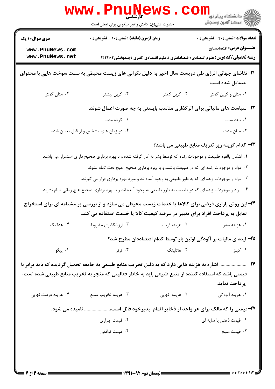|                                                                                                                             | <b>WWW . PILUNG</b><br>کار شناسی<br>حضرت علی(ع): دانش راهبر نیکویی برای ایمان است                                                                                                                        |                                                                                          | الار دانشگاه پيام نور <mark>− .</mark><br>∕ مرکز آزمون وسنجش |  |
|-----------------------------------------------------------------------------------------------------------------------------|----------------------------------------------------------------------------------------------------------------------------------------------------------------------------------------------------------|------------------------------------------------------------------------------------------|--------------------------------------------------------------|--|
| <b>سری سوال : ۱ یک</b>                                                                                                      | <b>زمان آزمون (دقیقه) : تستی : ۹۰ تشریحی : 0</b>                                                                                                                                                         |                                                                                          | <b>تعداد سوالات : تستی : 40 - تشریحی : 0</b>                 |  |
| www.PnuNews.com<br>www.PnuNews.net                                                                                          |                                                                                                                                                                                                          | <b>رشته تحصیلی/کد درس:</b> علوم اقتصادی (اقتصادنظری )،علوم اقتصادی (نظری )چندبخشی1۲۲۱۱۰۲ | عنـــوان درس: اقتصادمنابع                                    |  |
| <b>۲۱</b> - تقاضای جهانی انرژی طی دویست سال اخیر به دلیل نگرانی های زیست محیطی به سمت سوخت هایی با محتوای<br>متمایل شده است |                                                                                                                                                                                                          |                                                                                          |                                                              |  |
| ۰۴ متان کمتر                                                                                                                | ۰۳ کربن بیشتر                                                                                                                                                                                            | ۰۲ کربن کمتر                                                                             | ۰۱ متان و کربن کمتر                                          |  |
|                                                                                                                             | ۲۲- سیاست های مالیاتی برای اثرگذاری مناسب بایستی به چه صورت اعمال شوند.                                                                                                                                  |                                                                                          |                                                              |  |
|                                                                                                                             | ۰۲ کوتاه مدت                                                                                                                                                                                             |                                                                                          | ۰۱ بلند مدت                                                  |  |
|                                                                                                                             | ۰۴ در زمان های مشخص و از قبل تعیین شده                                                                                                                                                                   |                                                                                          | ۰۳ میان مدت                                                  |  |
|                                                                                                                             |                                                                                                                                                                                                          |                                                                                          | ۲۳- کدام گزینه زیر تعریف منابع طبیعی می باشد؟                |  |
|                                                                                                                             | ۰۱ اشکال بالقوه طبیعت و موجودات زنده که توسط بشر به کار گرفته شده و با بهره برداری صحیح دارای استمرار می باشند                                                                                           |                                                                                          |                                                              |  |
|                                                                                                                             | ۰۲ مواد و موجودات زنده ای که در طبیعت باشند و با بهره برداری صحیح ًهیچ وقت تمام نشوند                                                                                                                    |                                                                                          |                                                              |  |
|                                                                                                                             | ۰۳ مواد و موجودات زنده ای که به طور طبیعی به وجود آمده اند و مورد بهره برداری قرار می گیرند.                                                                                                             |                                                                                          |                                                              |  |
|                                                                                                                             | ۰۴ مواد و موجودات زنده ای که در طبیعت به طور طبیعی به وجود آمده اند و با بهره برداری صحیح هیچ زمانی تمام نشوند.                                                                                          |                                                                                          |                                                              |  |
|                                                                                                                             | <b>۳۴</b> -این روش بازاری فرضی برای کالاها یا خدمات زیست محیطی می سازد و از بررسی پرسشنامه ای برای استخراج<br>تمایل به پرداخت افراد برای تغییر در عرضه کیفیت کالا یا خدمت استفاده می کند.                |                                                                                          |                                                              |  |
| ۰۴ هدانیک                                                                                                                   | ۰۳ ارزشگذاری مشروط                                                                                                                                                                                       | ۰۲ هزينه فرصت                                                                            | ۰۱ هزينه سفر                                                 |  |
|                                                                                                                             |                                                                                                                                                                                                          | ۲۵– ایده ی مالیات بر آلودگی اولین بار توسط کدام اقتصاددان مطرح شد؟                       |                                                              |  |
| ۰۴ پیگو                                                                                                                     | ۰۳ ترنر                                                                                                                                                                                                  | ۰۲ هاتلینگ                                                                               | ۰۱ کینز                                                      |  |
|                                                                                                                             | ۲۶- اشاره به هزینه هایی دارد که به دلیل تخریب منابع طبیعی به جامعه تحمیل گردیده که باید برابر با<br>قیمتی باشد که استفاده کننده از منبع طبیعی باید به خاطر فعالیتی که منجر به تخریب منابع طبیعی شده است، |                                                                                          | پرداخت نماید.                                                |  |
| ۰۴ هزینه فرصت نهایی                                                                                                         | ۰۳ هزينه تخريب منابع                                                                                                                                                                                     | ۰۲ هزینه نهایی                                                                           | ۰۱ هزینه آلودگی                                              |  |
|                                                                                                                             | ۲۷-قیمتی را که مالک برای هر واحد از ذخایر اتمام پذیرخود قائل است، نامیده می شود.                                                                                                                         |                                                                                          |                                                              |  |
|                                                                                                                             | ۰۲ قیمت بازاری                                                                                                                                                                                           |                                                                                          | ۰۱ قیمت ذهنی یا سایه ای                                      |  |
|                                                                                                                             | ۰۴ قیمت توافقی                                                                                                                                                                                           |                                                                                          | ۰۳ قیمت منبع                                                 |  |
|                                                                                                                             |                                                                                                                                                                                                          |                                                                                          |                                                              |  |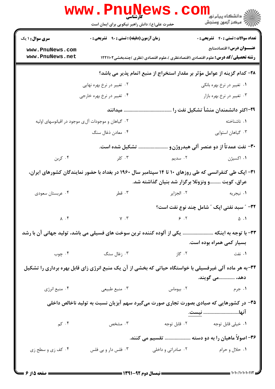|                                                                           | www.PnuNews                                                                                                                                     |                                                                   | لاد دانشگاه پيام نور <mark>- -</mark><br>  /* مرکز آزمون وسنجش                           |  |
|---------------------------------------------------------------------------|-------------------------------------------------------------------------------------------------------------------------------------------------|-------------------------------------------------------------------|------------------------------------------------------------------------------------------|--|
| <b>سری سوال : ۱ یک</b>                                                    | حضرت علی(ع): دانش راهبر نیکویی برای ایمان است<br><b>زمان آزمون (دقیقه) : تستی : ۹۰ قشریحی : 0</b>                                               |                                                                   | <b>تعداد سوالات : تستي : 40 - تشريحي : 0</b>                                             |  |
| www.PnuNews.com                                                           |                                                                                                                                                 |                                                                   | عنـــوان درس: اقتصادمنابع                                                                |  |
| www.PnuNews.net                                                           |                                                                                                                                                 |                                                                   | <b>رشته تحصیلی/کد درس:</b> علوم اقتصادی (اقتصادنظری )،علوم اقتصادی (نظری )چندبخشی1۲۲۱۱۰۲ |  |
| ۲۸– کدام گزینه از عوامل مؤثر بر مقدار استخراج از منبع اتمام پذیر می باشد؟ |                                                                                                                                                 |                                                                   |                                                                                          |  |
|                                                                           | ۰۲ تغییر در نرخ بهره نهایی                                                                                                                      |                                                                   | ۰۱ تغییر در نرخ بهره بانکی                                                               |  |
|                                                                           | ۰۴ تغییر در نرخ بهره خارجی                                                                                                                      |                                                                   | ۰۳ تغییر در نرخ بهره بازار                                                               |  |
|                                                                           | میدانند                                                                                                                                         |                                                                   | ۲۹–اکثر دانشمندان منشأ تشکیل نفت را                                                      |  |
|                                                                           | ۰۲ گیاهان و موجودات آلى موجود در اقیانوسهاى اولیه                                                                                               |                                                                   | ۰۱ ناشناخته                                                                              |  |
|                                                                           | ۰۴ معادن ذغال سنگ                                                                                                                               |                                                                   | ۰۳ گیاهان استوایی                                                                        |  |
|                                                                           | تشکیل شده است.                                                                                                                                  |                                                                   | ۳۰- نفت عمدتاً از دو عنصر آلی هیدروژن و                                                  |  |
| ۰۴ کربن                                                                   | ۰۳ کلر                                                                                                                                          |                                                                   |                                                                                          |  |
|                                                                           | ۳۱– اپک طی کنفرانسی که طی روزهای ۱۰ تا ۱۴ سپتامبر سال ۱۹۶۰ در بغداد با حضور نمایندگان کشورهای ایران،                                            |                                                                   |                                                                                          |  |
|                                                                           |                                                                                                                                                 | عراق، کویت و ونزوئلا برگزار شد بنیان گذاشته شد.                   |                                                                                          |  |
| ۰۴ عربستان سعودي                                                          | ۰۳ قطر                                                                                                                                          | ۰۲ الجزایر                                                        | ۰۱ نیجریه                                                                                |  |
|                                                                           |                                                                                                                                                 |                                                                   | ٣٢- ″ سبد نفتي اپک ″ شامل چند نوع نفت است؟                                               |  |
|                                                                           | $\lambda \cdot f$ $\lambda \cdot f$ $\lambda \cdot f$ $\lambda \cdot f$ $\lambda \cdot f$ $\lambda \cdot f$ $\lambda \cdot f$ $\lambda \cdot f$ |                                                                   |                                                                                          |  |
|                                                                           | ۳۳- با توجه به اینکه  یکی از آلوده کننده ترین سوخت های فسیلی می باشد، تولید جهانی آن با رشد                                                     |                                                                   |                                                                                          |  |
|                                                                           |                                                                                                                                                 |                                                                   | بسیار کمی همراه بوده است.                                                                |  |
|                                                                           | ۰۱ نفت میسی به تصویر میکند و تصویر از معامل استگاه میشود. ۴ میلیوب به معامل استبکار میکند که معامل است. معامل ا                                 |                                                                   |                                                                                          |  |
|                                                                           | ۳۴-به هر ماده آلی غیرفسیلی با خواستگاه حیاتی که بخشی از آن یک منبع انرژی زای قابل بهره برداری را تشکیل                                          |                                                                   |                                                                                          |  |
|                                                                           |                                                                                                                                                 |                                                                   | دهد، می گویند.                                                                           |  |
| ۰۴ منبع انرژي                                                             | ۰۳ منبع طبیعی                                                                                                                                   |                                                                   |                                                                                          |  |
|                                                                           | ۳۵– در کشورهایی که صیادی بصورت تجاری صورت میگیرد سهم آبزیان نسبت به تولید ناخالص داخلی                                                          |                                                                   | انها <u>نيست.</u>                                                                        |  |
| ۰۴ کم                                                                     |                                                                                                                                                 |                                                                   |                                                                                          |  |
|                                                                           |                                                                                                                                                 |                                                                   | ۳۶- اصولاً ماهیان را به دو دسته  تقسیم می کنند.                                          |  |
| ۰۴ کف زی و سطح زی                                                         |                                                                                                                                                 | ۰۱ حلال و حرام مسلم ۲۰۰ مادراتی و داخلی مسلم ۲۰۰ فلس دار و بی فلس |                                                                                          |  |
| $\frac{1}{1}$ $\frac{1}{1}$ $\frac{1}{1}$                                 |                                                                                                                                                 |                                                                   |                                                                                          |  |